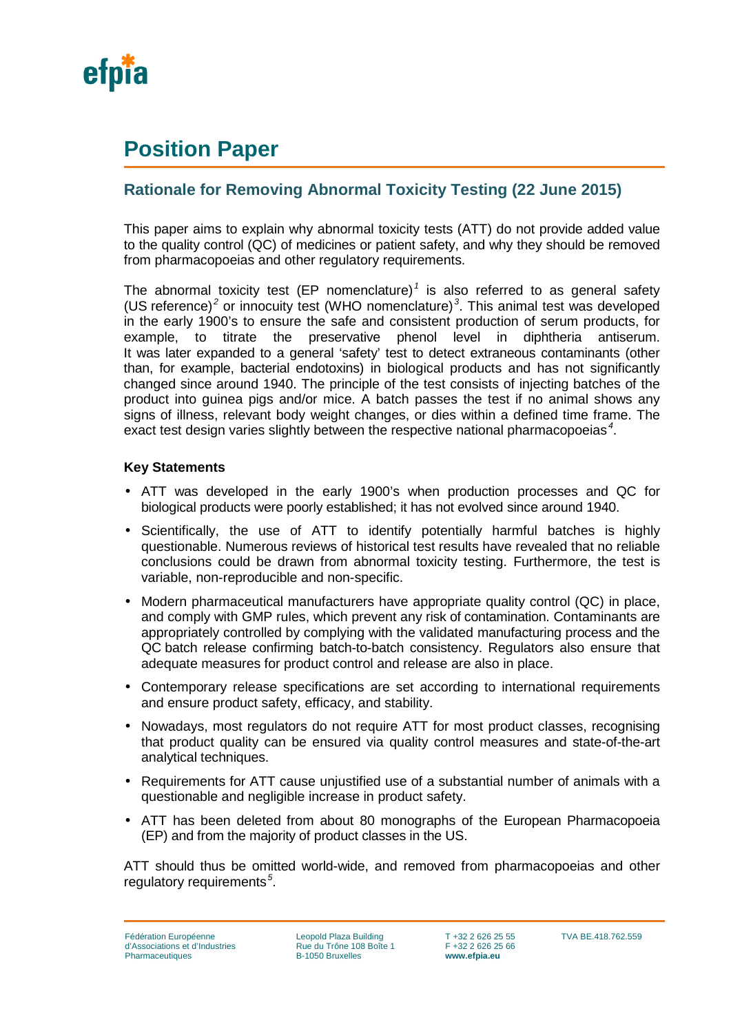

# **Position Paper**

# **Rationale for Removing Abnormal Toxicity Testing (22 June 2015)**

This paper aims to explain why abnormal toxicity tests (ATT) do not provide added value to the quality control (QC) of medicines or patient safety, and why they should be removed from pharmacopoeias and other regulatory requirements.

The abnormal toxicity test (EP nomenclature)<sup> $1$ </sup> is also referred to as general safety (US reference)<sup>[2](#page-1-1)</sup> or innocuity test (WHO nomenclature)<sup>[3](#page-1-2)</sup>. This animal test was developed in the early 1900's to ensure the safe and consistent production of serum products, for example, to titrate the preservative phenol level in diphtheria antiserum. It was later expanded to a general 'safety' test to detect extraneous contaminants (other than, for example, bacterial endotoxins) in biological products and has not significantly changed since around 1940. The principle of the test consists of injecting batches of the product into guinea pigs and/or mice. A batch passes the test if no animal shows any signs of illness, relevant body weight changes, or dies within a defined time frame. The exact test design varies slightly between the respective national pharmacopoeias *[4](#page-1-3)* .

#### **Key Statements**

- ATT was developed in the early 1900's when production processes and QC for biological products were poorly established; it has not evolved since around 1940.
- Scientifically, the use of ATT to identify potentially harmful batches is highly questionable. Numerous reviews of historical test results have revealed that no reliable conclusions could be drawn from abnormal toxicity testing. Furthermore, the test is variable, non-reproducible and non-specific.
- $\mathbf{r}$ Modern pharmaceutical manufacturers have appropriate quality control (QC) in place, and comply with GMP rules, which prevent any risk of contamination. Contaminants are appropriately controlled by complying with the validated manufacturing process and the QC batch release confirming batch-to-batch consistency. Regulators also ensure that adequate measures for product control and release are also in place.
- Contemporary release specifications are set according to international requirements and ensure product safety, efficacy, and stability.
- Nowadays, most regulators do not require ATT for most product classes, recognising that product quality can be ensured via quality control measures and state-of-the-art analytical techniques.
- Requirements for ATT cause unjustified use of a substantial number of animals with a questionable and negligible increase in product safety.
- ATT has been deleted from about 80 monographs of the European Pharmacopoeia (EP) and from the majority of product classes in the US.

ATT should thus be omitted world-wide, and removed from pharmacopoeias and other regulatory requirements*[5](#page-1-4)* .

Leopold Plaza Building Rue du Trône 108 Boîte 1 B-1050 Bruxelles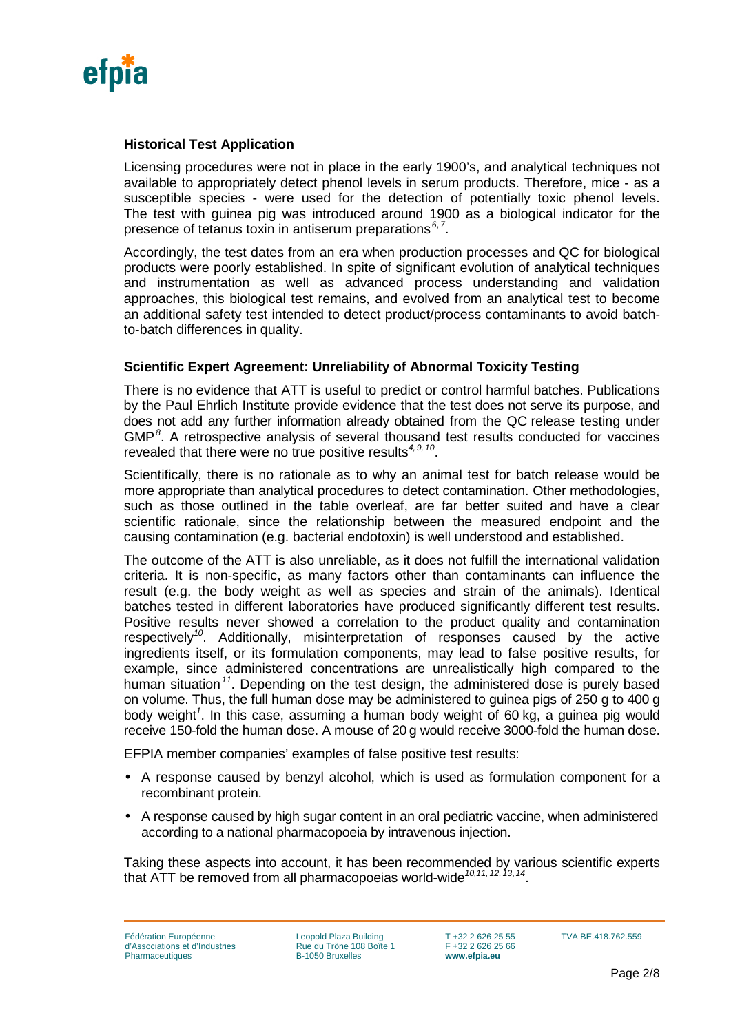

#### **Historical Test Application**

<span id="page-1-0"></span>Licensing procedures were not in place in the early 1900's, and analytical techniques not available to appropriately detect phenol levels in serum products. Therefore, mice - as a susceptible species - were used for the detection of potentially toxic phenol levels. The test with guinea pig was introduced around 1900 as a biological indicator for the presence of tetanus toxin in antiserum preparations *[6](#page-2-0)*, *[7](#page-2-1)* .

<span id="page-1-3"></span><span id="page-1-2"></span><span id="page-1-1"></span>Accordingly, the test dates from an era when production processes and QC for biological products were poorly established. In spite of significant evolution of analytical techniques and instrumentation as well as advanced process understanding and validation approaches, this biological test remains, and evolved from an analytical test to become an additional safety test intended to detect product/process contaminants to avoid batchto-batch differences in quality.

#### <span id="page-1-4"></span>**Scientific Expert Agreement: Unreliability of Abnormal Toxicity Testing**

There is no evidence that ATT is useful to predict or control harmful batches. Publications by the Paul Ehrlich Institute provide evidence that the test does not serve its purpose, and does not add any further information already obtained from the QC release testing under GMP*[8](#page-2-2)* . A retrospective analysis of several thousand test results conducted for vaccines revealed that there were no true positive results*4,[9](#page-2-3), [10](#page-2-4)*.

Scientifically, there is no rationale as to why an animal test for batch release would be more appropriate than analytical procedures to detect contamination. Other methodologies, such as those outlined in the table overleaf, are far better suited and have a clear scientific rationale, since the relationship between the measured endpoint and the causing contamination (e.g. bacterial endotoxin) is well understood and established.

The outcome of the ATT is also unreliable, as it does not fulfill the international validation criteria. It is non-specific, as many factors other than contaminants can influence the result (e.g. the body weight as well as species and strain of the animals). Identical batches tested in different laboratories have produced significantly different test results. Positive results never showed a correlation to the product quality and contamination respectively*<sup>10</sup>*. Additionally, misinterpretation of responses caused by the active ingredients itself, or its formulation components, may lead to false positive results, for example, since administered concentrations are unrealistically high compared to the human situation*[11](#page-2-5)*. Depending on the test design, the administered dose is purely based on volume. Thus, the full human dose may be administered to guinea pigs of 250 g to 400 g body weight*<sup>1</sup>* . In this case, assuming a human body weight of 60 kg, a guinea pig would receive 150-fold the human dose. A mouse of 20 g would receive 3000-fold the human dose.

EFPIA member companies' examples of false positive test results:

- $\cdot$  A response caused by benzyl alcohol, which is used as formulation component for a recombinant protein.
- A response caused by high sugar content in an oral pediatric vaccine, when administered according to a national pharmacopoeia by intravenous injection.

Taking these aspects into account, it has been recommended by various scientific experts that ATT be removed from all pharmacopoeias world-wide*10,11, [12,](#page-2-6) [13](#page-2-7)*, *[14](#page-2-8)*.

Leopold Plaza Building Rue du Trône 108 Boîte 1 B-1050 Bruxelles

T +32 2 626 25 55 F +32 2 626 25 66 **www.efpia.eu**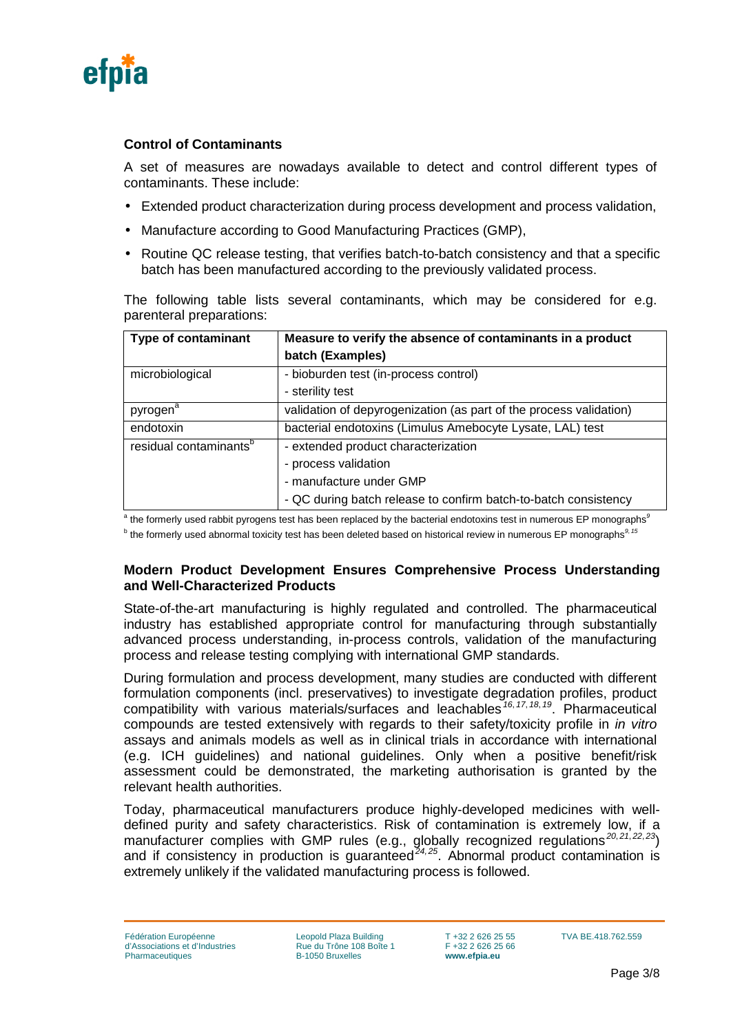

## **Control of Contaminants**

A set of measures are nowadays available to detect and control different types of contaminants. These include:

- Extended product characterization during process development and process validation,
- Manufacture according to Good Manufacturing Practices (GMP),
- Routine QC release testing, that verifies batch-to-batch consistency and that a specific batch has been manufactured according to the previously validated process.

The following table lists several contaminants, which may be considered for e.g. parenteral preparations:

<span id="page-2-1"></span><span id="page-2-0"></span>

| <b>Type of contaminant</b>         | Measure to verify the absence of contaminants in a product         |
|------------------------------------|--------------------------------------------------------------------|
|                                    | batch (Examples)                                                   |
| microbiological                    | - bioburden test (in-process control)                              |
|                                    | - sterility test                                                   |
| pyrogen <sup>a</sup>               | validation of depyrogenization (as part of the process validation) |
| endotoxin                          | bacterial endotoxins (Limulus Amebocyte Lysate, LAL) test          |
| residual contaminants <sup>b</sup> | - extended product characterization                                |
|                                    | - process validation                                               |
|                                    | - manufacture under GMP                                            |
|                                    | - QC during batch release to confirm batch-to-batch consistency    |

<span id="page-2-4"></span><span id="page-2-3"></span><span id="page-2-2"></span><sup>a</sup> the formerly used rabbit pyrogens test has been replaced by the bacterial endotoxins test in numerous EP monographs<sup>9</sup>

<span id="page-2-5"></span><sup>b</sup> the formerly used abnormal toxicity test has been deleted based on historical review in numerous EP monographs*<sup>9</sup>*, *[15](#page-3-0)*

#### <span id="page-2-6"></span>**Modern Product Development Ensures Comprehensive Process Understanding and Well-Characterized Products**

<span id="page-2-7"></span>State-of-the-art manufacturing is highly regulated and controlled. The pharmaceutical industry has established appropriate control for manufacturing through substantially advanced process understanding, in-process controls, validation of the manufacturing process and release testing complying with international GMP standards.

<span id="page-2-8"></span>During formulation and process development, many studies are conducted with different formulation components (incl. preservatives) to investigate degradation profiles, product compatibility with various materials/surfaces and leachables *[16](#page-3-1)*, *[17](#page-3-2)*, *[18](#page-3-3)*, *[19](#page-3-4)*. Pharmaceutical compounds are tested extensively with regards to their safety/toxicity profile in *in vitro* assays and animals models as well as in clinical trials in accordance with international (e.g. ICH guidelines) and national guidelines. Only when a positive benefit/risk assessment could be demonstrated, the marketing authorisation is granted by the relevant health authorities.

Today, pharmaceutical manufacturers produce highly-developed medicines with welldefined purity and safety characteristics. Risk of contamination is extremely low, if a manufacturer complies with GMP rules (e.g., globally recognized regulations *[20](#page-3-5)*, *[21](#page-3-6)*, *[22](#page-3-7)*, *[23](#page-3-8)*) and if consistency in production is guaranteed*[24](#page-3-9),[25](#page-3-10)*. Abnormal product contamination is extremely unlikely if the validated manufacturing process is followed.

Leopold Plaza Building Rue du Trône 108 Boîte 1 B-1050 Bruxelles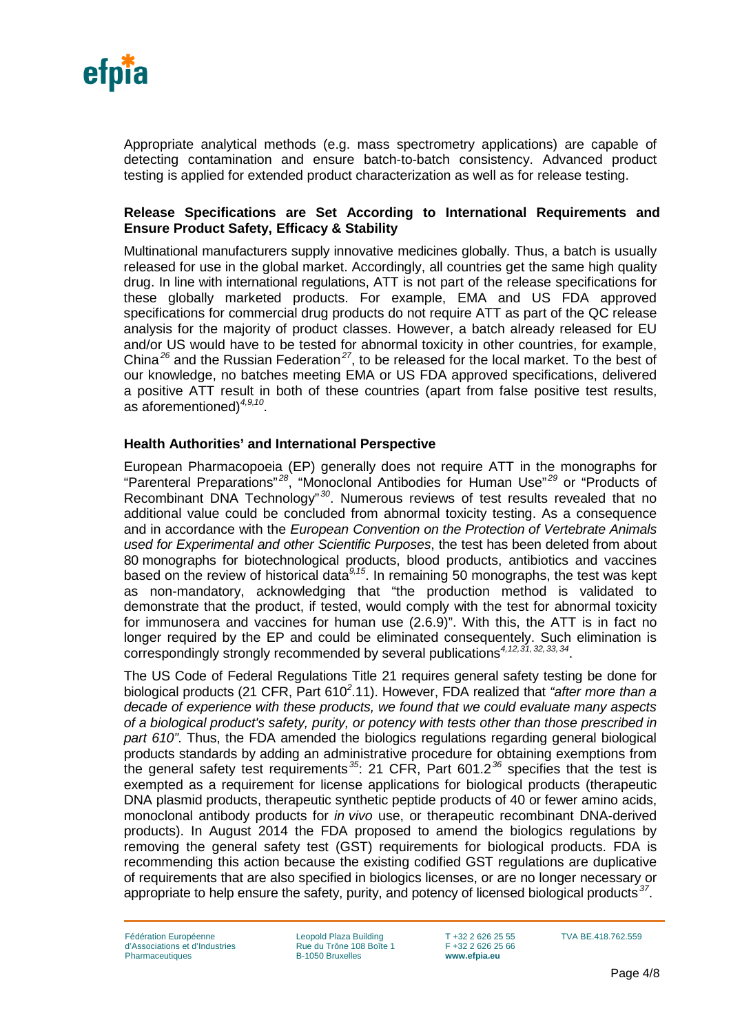

Appropriate analytical methods (e.g. mass spectrometry applications) are capable of detecting contamination and ensure batch-to-batch consistency. Advanced product testing is applied for extended product characterization as well as for release testing.

#### <span id="page-3-4"></span>**Release Specifications are Set According to International Requirements and Ensure Product Safety, Efficacy & Stability**

<span id="page-3-8"></span><span id="page-3-7"></span><span id="page-3-6"></span><span id="page-3-5"></span>Multinational manufacturers supply innovative medicines globally. Thus, a batch is usually released for use in the global market. Accordingly, all countries get the same high quality drug. In line with international regulations, ATT is not part of the release specifications for these globally marketed products. For example, EMA and US FDA approved specifications for commercial drug products do not require ATT as part of the QC release analysis for the majority of product classes. However, a batch already released for EU and/or US would have to be tested for abnormal toxicity in other countries, for example, China*[26](#page-4-0)* and the Russian Federation*[27](#page-4-1)*, to be released for the local market. To the best of our knowledge, no batches meeting EMA or US FDA approved specifications, delivered a positive ATT result in both of these countries (apart from false positive test results, as aforementioned)*4,9,10*.

#### <span id="page-3-10"></span><span id="page-3-9"></span>**Health Authorities' and International Perspective**

European Pharmacopoeia (EP) generally does not require ATT in the monographs for "Parenteral Preparations" *[28](#page-4-2)*, "Monoclonal Antibodies for Human Use" *[29](#page-4-3)* or "Products of Recombinant DNA Technology" *[30](#page-4-4)*. Numerous reviews of test results revealed that no additional value could be concluded from abnormal toxicity testing. As a consequence and in accordance with the *European Convention on the Protection of Vertebrate Animals used for Experimental and other Scientific Purposes*, the test has been deleted from about 80 monographs for biotechnological products, blood products, antibiotics and vaccines based on the review of historical data<sup>9,15</sup>. In remaining 50 monographs, the test was kept as non-mandatory, acknowledging that "the production method is validated to demonstrate that the product, if tested, would comply with the test for abnormal toxicity for immunosera and vaccines for human use (2.6.9)". With this, the ATT is in fact no longer required by the EP and could be eliminated consequentely. Such elimination is correspondingly strongly recommended by several publications*4,12,[31,](#page-4-5) [32](#page-4-6),[33,](#page-4-7) [34](#page-4-8)*.

<span id="page-3-2"></span><span id="page-3-1"></span><span id="page-3-0"></span>The US Code of Federal Regulations Title 21 requires general safety testing be done for biological products (21 CFR, Part 610*<sup>2</sup>* .11). However, FDA realized that *"after more than a decade of experience with these products, we found that we could evaluate many aspects of a biological product's safety, purity, or potency with tests other than those prescribed in part 610"*. Thus, the FDA amended the biologics regulations regarding general biological products standards by adding an administrative procedure for obtaining exemptions from the general safety test requirements *[35](#page-4-9)*: 21 CFR, Part 601.2*[36](#page-4-10)* specifies that the test is exempted as a requirement for license applications for biological products (therapeutic DNA plasmid products, therapeutic synthetic peptide products of 40 or fewer amino acids, monoclonal antibody products for *in vivo* use, or therapeutic recombinant DNA-derived products). In August 2014 the FDA proposed to amend the biologics regulations by removing the general safety test (GST) requirements for biological products. FDA is recommending this action because the existing codified GST regulations are duplicative of requirements that are also specified in biologics licenses, or are no longer necessary or appropriate to help ensure the safety, purity, and potency of licensed biological products *[37](#page-4-11)*.

<span id="page-3-3"></span>Fédération Européenne d'Associations et d'Industries Pharmaceutiques

Leopold Plaza Building Rue du Trône 108 Boîte 1 B-1050 Bruxelles

T +32 2 626 25 55 F +32 2 626 25 66 **www.efpia.eu**

TVA BE.418.762.559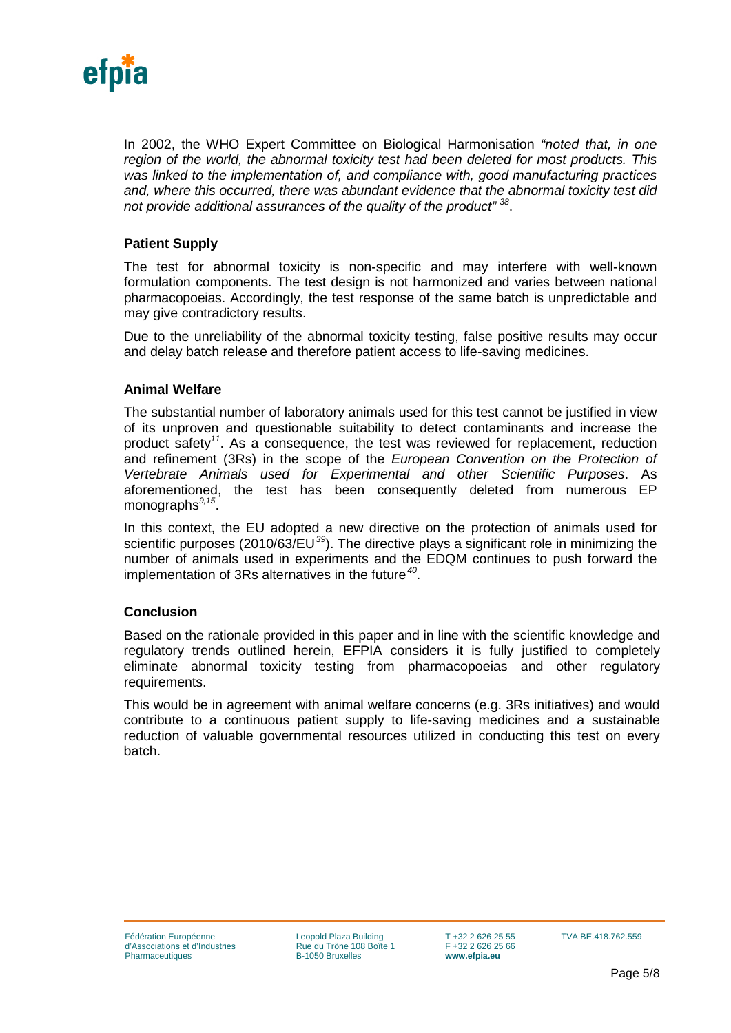

In 2002, the WHO Expert Committee on Biological Harmonisation *"noted that, in one region of the world, the abnormal toxicity test had been deleted for most products. This was linked to the implementation of, and compliance with, good manufacturing practices and, where this occurred, there was abundant evidence that the abnormal toxicity test did not provide additional assurances of the quality of the product" [38](#page-5-0)*.

### **Patient Supply**

The test for abnormal toxicity is non-specific and may interfere with well-known formulation components. The test design is not harmonized and varies between national pharmacopoeias. Accordingly, the test response of the same batch is unpredictable and may give contradictory results.

Due to the unreliability of the abnormal toxicity testing, false positive results may occur and delay batch release and therefore patient access to life-saving medicines.

#### **Animal Welfare**

<span id="page-4-2"></span><span id="page-4-1"></span><span id="page-4-0"></span>The substantial number of laboratory animals used for this test cannot be justified in view of its unproven and questionable suitability to detect contaminants and increase the product safety*<sup>11</sup>*. As a consequence, the test was reviewed for replacement, reduction and refinement (3Rs) in the scope of the *European Convention on the Protection of Vertebrate Animals used for Experimental and other Scientific Purposes*. As aforementioned, the test has been consequently deleted from numerous EP monographs*9,15*.

<span id="page-4-6"></span><span id="page-4-5"></span><span id="page-4-4"></span><span id="page-4-3"></span>In this context, the EU adopted a new directive on the protection of animals used for scientific purposes (2010/63/EU*[39](#page-5-1)*). The directive plays a significant role in minimizing the number of animals used in experiments and the EDQM continues to push forward the implementation of 3Rs alternatives in the future*[40](#page-5-2)*.

#### <span id="page-4-7"></span>**Conclusion**

<span id="page-4-8"></span>Based on the rationale provided in this paper and in line with the scientific knowledge and regulatory trends outlined herein, EFPIA considers it is fully justified to completely eliminate abnormal toxicity testing from pharmacopoeias and other regulatory requirements.

<span id="page-4-11"></span><span id="page-4-10"></span><span id="page-4-9"></span>This would be in agreement with animal welfare concerns (e.g. 3Rs initiatives) and would contribute to a continuous patient supply to life-saving medicines and a sustainable reduction of valuable governmental resources utilized in conducting this test on every batch.

Leopold Plaza Building Rue du Trône 108 Boîte 1 B-1050 Bruxelles

T +32 2 626 25 55 F +32 2 626 25 66 **www.efpia.eu**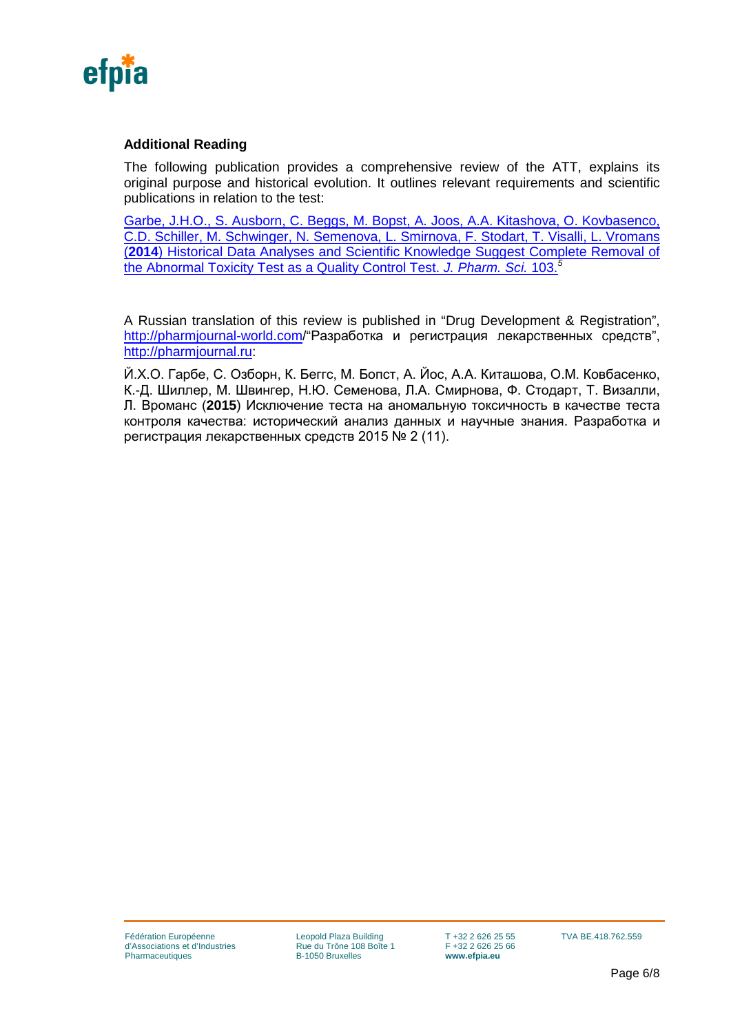

# **Additional Reading**

The following publication provides a comprehensive review of the ATT, explains its original purpose and historical evolution. It outlines relevant requirements and scientific publications in relation to the test:

[Garbe, J.H.O., S. Ausborn, C. Beggs, M. Bopst, A. Joos, A.A. Kitashova, O. Kovbasenco,](http://onlinelibrary.wiley.com/doi/10.1002/jps.24125/pdf)  [C.D. Schiller, M. Schwinger, N. Semenova, L. Smirnova, F. Stodart, T. Visalli, L. Vromans](http://onlinelibrary.wiley.com/doi/10.1002/jps.24125/pdf)  (**2014**[\) Historical Data Analyses and Scientific Knowledge Suggest Complete Removal of](http://onlinelibrary.wiley.com/doi/10.1002/jps.24125/pdf)  [the Abnormal Toxicity Test as a Quality Control Test.](http://onlinelibrary.wiley.com/doi/10.1002/jps.24125/pdf) *J. Pharm. Sci.* 103.*<sup>5</sup>*

A Russian translation of this review is published in "Drug Development & Registration", <http://pharmjournal-world.com/>"Разработка и регистрация лекарственных средств", [http://pharmjournal.ru:](http://pharmjournal.ru/)

<span id="page-5-2"></span><span id="page-5-1"></span><span id="page-5-0"></span>Й.Х.О. Гарбе, С. Озборн, К. Беггс, М. Бопст, А. Йос, А.А. Киташова, О.М. Ковбасенко, К.-Д. Шиллер, М. Швингер, Н.Ю. Семенова, Л.А. Смирнова, Ф. Стодарт, Т. Визалли, Л. Вроманс (**2015**) Исключение теста на аномальную токсичность в качестве теста контроля качества: исторический анализ данных и научные знания. Разработка и регистрация лекарственных средств 2015 № 2 (11).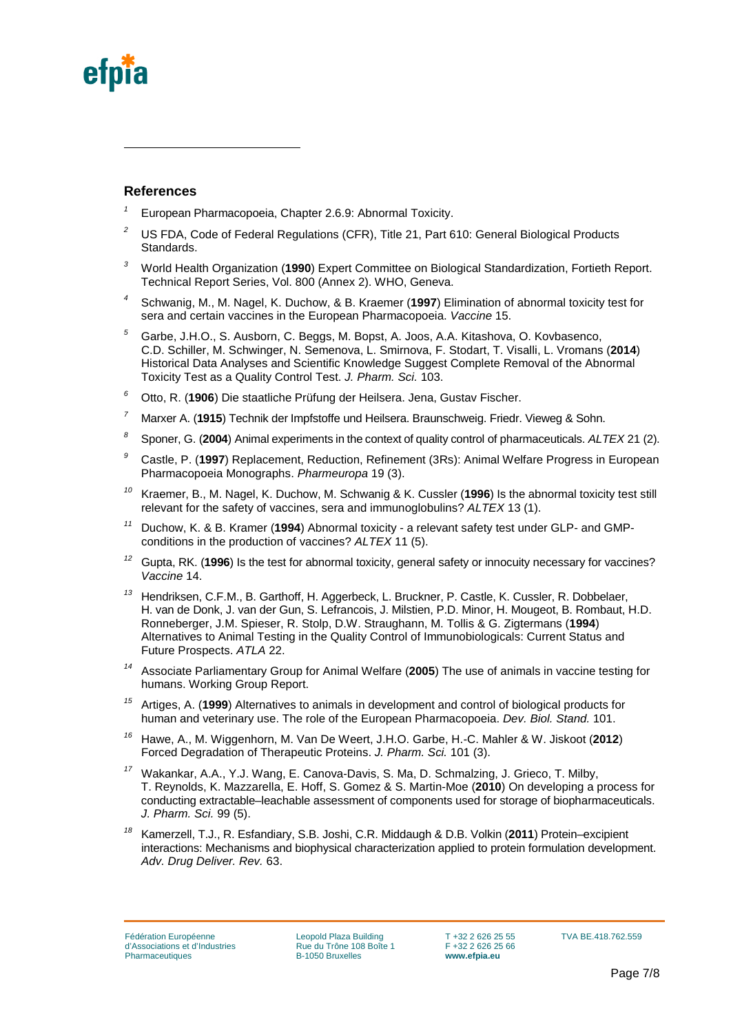

-

#### **References**

- *<sup>1</sup>* European Pharmacopoeia, Chapter 2.6.9: Abnormal Toxicity.
- <sup>2</sup> US FDA, Code of Federal Regulations (CFR), Title 21, Part 610: General Biological Products Standards.
- *<sup>3</sup>* World Health Organization (**1990**) Expert Committee on Biological Standardization, Fortieth Report. Technical Report Series, Vol. 800 (Annex 2). WHO, Geneva.
- *<sup>4</sup>* Schwanig, M., M. Nagel, K. Duchow, & B. Kraemer (**1997**) Elimination of abnormal toxicity test for sera and certain vaccines in the European Pharmacopoeia. *Vaccine* 15.
- *<sup>5</sup>* Garbe, J.H.O., S. Ausborn, C. Beggs, M. Bopst, A. Joos, A.A. Kitashova, O. Kovbasenco, C.D. Schiller, M. Schwinger, N. Semenova, L. Smirnova, F. Stodart, T. Visalli, L. Vromans (**2014**) Historical Data Analyses and Scientific Knowledge Suggest Complete Removal of the Abnormal Toxicity Test as a Quality Control Test. *J. Pharm. Sci.* 103.
- *<sup>6</sup>* Otto, R. (**1906**) Die staatliche Prüfung der Heilsera. Jena, Gustav Fischer.
- *<sup>7</sup>* Marxer A. (**1915**) Technik der Impfstoffe und Heilsera. Braunschweig. Friedr. Vieweg & Sohn.
- *<sup>8</sup>* Sponer, G. (**2004**) Animal experiments in the context of quality control of pharmaceuticals. *ALTEX* 21 (2).
- *<sup>9</sup>* Castle, P. (**1997**) Replacement, Reduction, Refinement (3Rs): Animal Welfare Progress in European Pharmacopoeia Monographs. *Pharmeuropa* 19 (3).
- *<sup>10</sup>* Kraemer, B., M. Nagel, K. Duchow, M. Schwanig & K. Cussler (**1996**) Is the abnormal toxicity test still relevant for the safety of vaccines, sera and immunoglobulins? *ALTEX* 13 (1).
- *<sup>11</sup>* Duchow, K. & B. Kramer (**1994**) Abnormal toxicity a relevant safety test under GLP- and GMPconditions in the production of vaccines? *ALTEX* 11 (5).
- *<sup>12</sup>* Gupta, RK. (**1996**) Is the test for abnormal toxicity, general safety or innocuity necessary for vaccines? *Vaccine* 14.
- *<sup>13</sup>* Hendriksen, C.F.M., B. Garthoff, H. Aggerbeck, L. Bruckner, P. Castle, K. Cussler, R. Dobbelaer, H. van de Donk, J. van der Gun, S. Lefrancois, J. Milstien, P.D. Minor, H. Mougeot, B. Rombaut, H.D. Ronneberger, J.M. Spieser, R. Stolp, D.W. Straughann, M. Tollis & G. Zigtermans (**1994**) Alternatives to Animal Testing in the Quality Control of Immunobiologicals: Current Status and Future Prospects. *ATLA* 22.
- *<sup>14</sup>* Associate Parliamentary Group for Animal Welfare (**2005**) The use of animals in vaccine testing for humans. Working Group Report.
- *<sup>15</sup>* Artiges, A. (**1999**) Alternatives to animals in development and control of biological products for human and veterinary use. The role of the European Pharmacopoeia. *Dev. Biol. Stand.* 101.
- *<sup>16</sup>* Hawe, A., M. Wiggenhorn, M. Van De Weert, J.H.O. Garbe, H.-C. Mahler & W. Jiskoot (**2012**) Forced Degradation of Therapeutic Proteins. *J. Pharm. Sci.* 101 (3).
- *<sup>17</sup>* Wakankar, A.A., Y.J. Wang, E. Canova-Davis, S. Ma, D. Schmalzing, J. Grieco, T. Milby, T. Reynolds, K. Mazzarella, E. Hoff, S. Gomez & S. Martin-Moe (**2010**) On developing a process for conducting extractable–leachable assessment of components used for storage of biopharmaceuticals. *J. Pharm. Sci.* 99 (5).
- *<sup>18</sup>* Kamerzell, T.J., R. Esfandiary, S.B. Joshi, C.R. Middaugh & D.B. Volkin (**2011**) Protein–excipient interactions: Mechanisms and biophysical characterization applied to protein formulation development. *Adv. Drug Deliver. Rev.* 63.

Leopold Plaza Building Rue du Trône 108 Boîte 1 B-1050 Bruxelles

T +32 2 626 25 55 F +32 2 626 25 66 **www.efpia.eu**

TVA BE.418.762.559